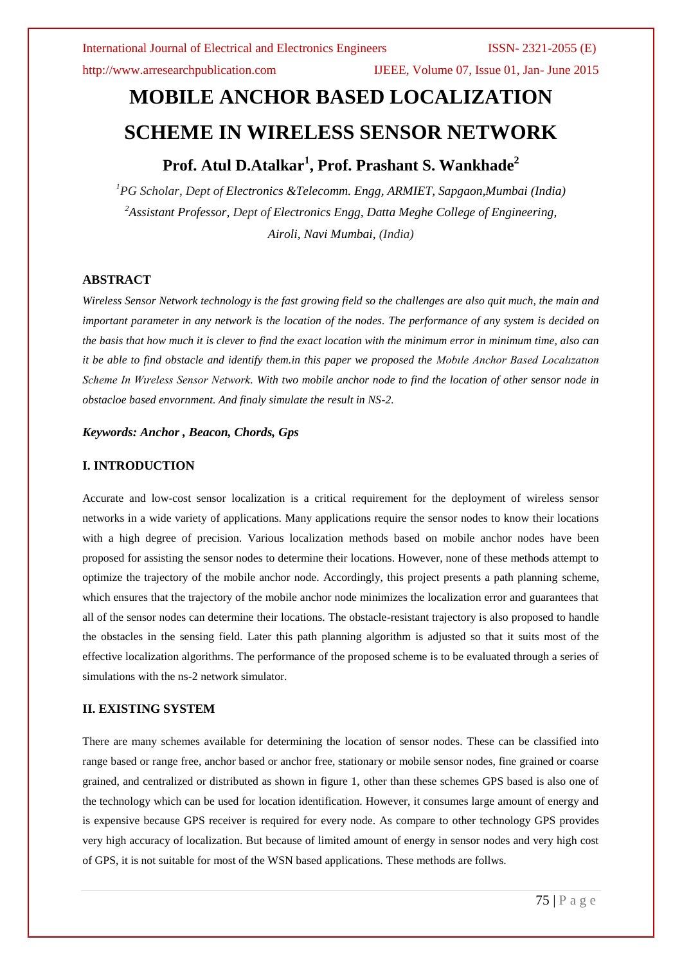http://www.arresearchpublication.com IJEEE, Volume 07, Issue 01, Jan- June 2015

# **MOBILE ANCHOR BASED LOCALIZATION SCHEME IN WIRELESS SENSOR NETWORK**

## **Prof. Atul D.Atalkar<sup>1</sup> , Prof. Prashant S. Wankhade<sup>2</sup>**

*<sup>1</sup>PG Scholar, Dept of Electronics &Telecomm. Engg, ARMIET, Sapgaon,Mumbai (India) <sup>2</sup>Assistant Professor, Dept of Electronics Engg, Datta Meghe College of Engineering, Airoli, Navi Mumbai, (India)*

### **ABSTRACT**

*Wireless Sensor Network technology is the fast growing field so the challenges are also quit much, the main and important parameter in any network is the location of the nodes. The performance of any system is decided on the basis that how much it is clever to find the exact location with the minimum error in minimum time, also can it be able to find obstacle and identify them.in this paper we proposed the Mobıle Anchor Based Localızatıon Scheme In Wıreless Sensor Network. With two mobile anchor node to find the location of other sensor node in obstacloe based envornment. And finaly simulate the result in NS-2.* 

### *Keywords: Anchor , Beacon, Chords, Gps*

### **I. INTRODUCTION**

Accurate and low-cost sensor localization is a critical requirement for the deployment of wireless sensor networks in a wide variety of applications. Many applications require the sensor nodes to know their locations with a high degree of precision. Various localization methods based on mobile anchor nodes have been proposed for assisting the sensor nodes to determine their locations. However, none of these methods attempt to optimize the trajectory of the mobile anchor node. Accordingly, this project presents a path planning scheme, which ensures that the trajectory of the mobile anchor node minimizes the localization error and guarantees that all of the sensor nodes can determine their locations. The obstacle-resistant trajectory is also proposed to handle the obstacles in the sensing field. Later this path planning algorithm is adjusted so that it suits most of the effective localization algorithms. The performance of the proposed scheme is to be evaluated through a series of simulations with the ns-2 network simulator.

### **II. EXISTING SYSTEM**

There are many schemes available for determining the location of sensor nodes. These can be classified into range based or range free, anchor based or anchor free, stationary or mobile sensor nodes, fine grained or coarse grained, and centralized or distributed as shown in figure 1, other than these schemes GPS based is also one of the technology which can be used for location identification. However, it consumes large amount of energy and is expensive because GPS receiver is required for every node. As compare to other technology GPS provides very high accuracy of localization. But because of limited amount of energy in sensor nodes and very high cost of GPS, it is not suitable for most of the WSN based applications. These methods are follws.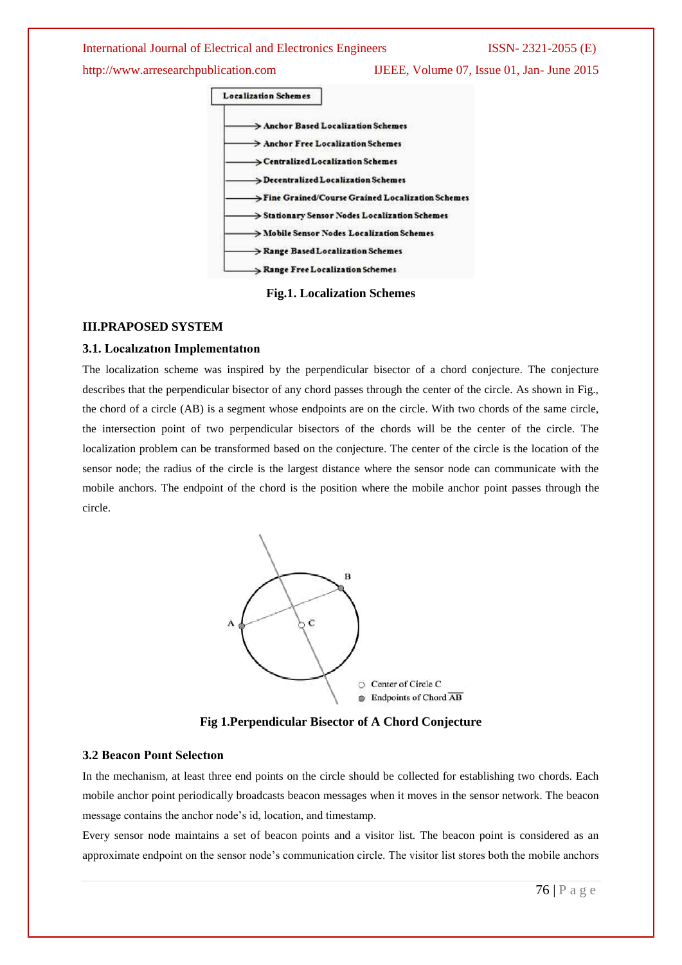http://www.arresearchpublication.com IJEEE, Volume 07, Issue 01, Jan- June 2015



**Fig.1. Localization Schemes**

#### **III.PRAPOSED SYSTEM**

#### **3.1. Localızatıon Implementatıon**

The localization scheme was inspired by the perpendicular bisector of a chord conjecture. The conjecture describes that the perpendicular bisector of any chord passes through the center of the circle. As shown in Fig., the chord of a circle (AB) is a segment whose endpoints are on the circle. With two chords of the same circle, the intersection point of two perpendicular bisectors of the chords will be the center of the circle. The localization problem can be transformed based on the conjecture. The center of the circle is the location of the sensor node; the radius of the circle is the largest distance where the sensor node can communicate with the mobile anchors. The endpoint of the chord is the position where the mobile anchor point passes through the circle.



**Fig 1.Perpendicular Bisector of A Chord Conjecture**

#### **3.2 Beacon Poınt Selectıon**

In the mechanism, at least three end points on the circle should be collected for establishing two chords. Each mobile anchor point periodically broadcasts beacon messages when it moves in the sensor network. The beacon message contains the anchor node's id, location, and timestamp.

Every sensor node maintains a set of beacon points and a visitor list. The beacon point is considered as an approximate endpoint on the sensor node's communication circle. The visitor list stores both the mobile anchors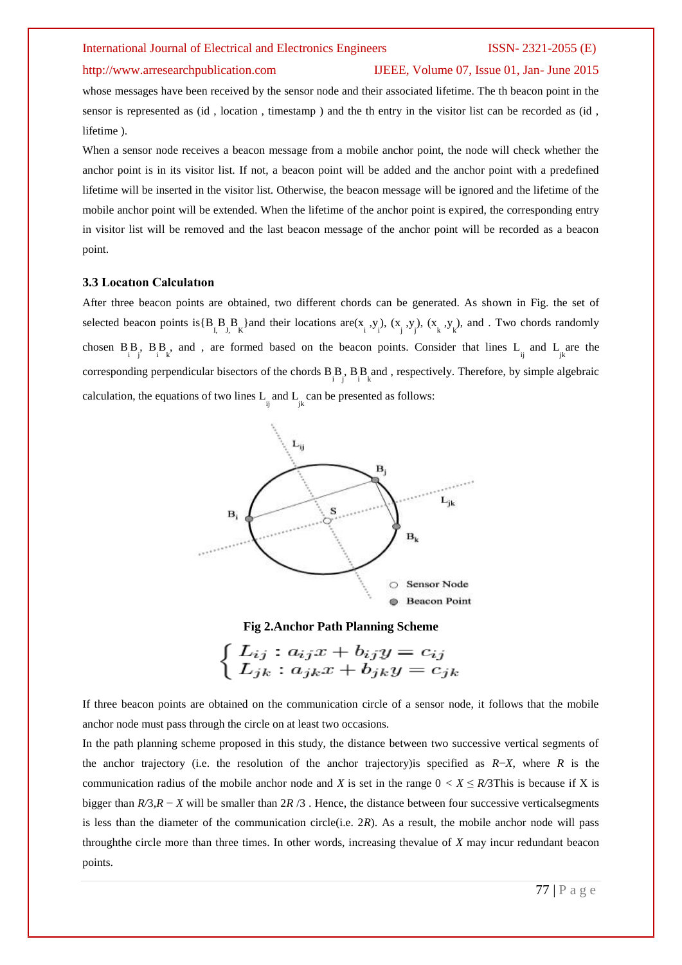### http://www.arresearchpublication.com IJEEE, Volume 07, Issue 01, Jan- June 2015

whose messages have been received by the sensor node and their associated lifetime. The th beacon point in the sensor is represented as (id , location , timestamp ) and the th entry in the visitor list can be recorded as (id , lifetime ).

When a sensor node receives a beacon message from a mobile anchor point, the node will check whether the anchor point is in its visitor list. If not, a beacon point will be added and the anchor point with a predefined lifetime will be inserted in the visitor list. Otherwise, the beacon message will be ignored and the lifetime of the mobile anchor point will be extended. When the lifetime of the anchor point is expired, the corresponding entry in visitor list will be removed and the last beacon message of the anchor point will be recorded as a beacon point.

#### **3.3 Locatıon Calculatıon**

After three beacon points are obtained, two different chords can be generated. As shown in Fig. the set of selected beacon points is  ${B_R B_R B_{k}}$  and their locations are  $(x_i, y_i)$ ,  $(x_i, y_j)$ ,  $(x_k, y_k)$ , and . Two chords randomly chosen  $B_iB_j$ ,  $B_jB_k$ , and , are formed based on the beacon points. Consider that lines  $L_{ij}$  and  $L_{jk}$  are the corresponding perpendicular bisectors of the chords  $B_{i,j}^B$ ,  $B_{i,k}^B$  and , respectively. Therefore, by simple algebraic calculation, the equations of two lines  $L_{ij}$  and  $L_{jk}$  can be presented as follows:



#### **Fig 2.Anchor Path Planning Scheme**



If three beacon points are obtained on the communication circle of a sensor node, it follows that the mobile anchor node must pass through the circle on at least two occasions.

In the path planning scheme proposed in this study, the distance between two successive vertical segments of the anchor trajectory (i.e. the resolution of the anchor trajectory)is specified as *R*−*X*, where *R* is the communication radius of the mobile anchor node and *X* is set in the range  $0 < X \leq R/3$ This is because if X is bigger than *R/*3,*R* − *X* will be smaller than 2*R* /3 . Hence, the distance between four successive verticalsegments is less than the diameter of the communication circle(i.e. 2*R*). As a result, the mobile anchor node will pass throughthe circle more than three times. In other words, increasing thevalue of *X* may incur redundant beacon points.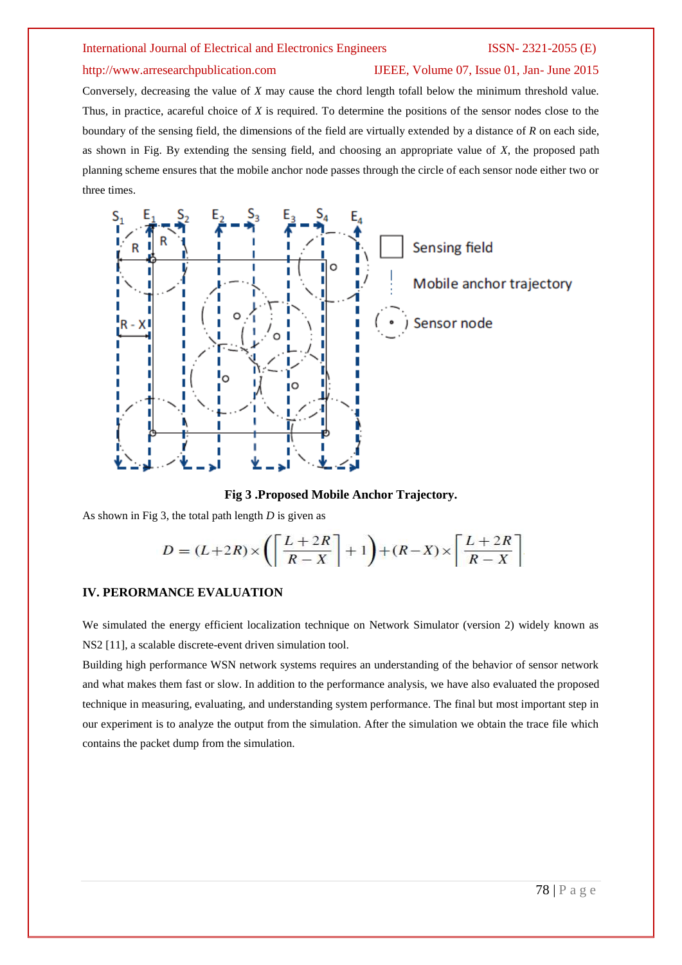### http://www.arresearchpublication.com IJEEE, Volume 07, Issue 01, Jan- June 2015

Conversely, decreasing the value of *X* may cause the chord length tofall below the minimum threshold value. Thus, in practice, acareful choice of *X* is required. To determine the positions of the sensor nodes close to the boundary of the sensing field, the dimensions of the field are virtually extended by a distance of *R* on each side, as shown in Fig. By extending the sensing field, and choosing an appropriate value of *X*, the proposed path planning scheme ensures that the mobile anchor node passes through the circle of each sensor node either two or three times.



#### **Fig 3 .Proposed Mobile Anchor Trajectory.**

As shown in Fig 3, the total path length *D* is given as

$$
D = (L+2R) \times \left( \left\lceil \frac{L+2R}{R-X} \right\rceil + 1 \right) + (R-X) \times \left\lceil \frac{L+2R}{R-X} \right\rceil
$$

#### **IV. PERORMANCE EVALUATION**

We simulated the energy efficient localization technique on Network Simulator (version 2) widely known as NS2 [11], a scalable discrete-event driven simulation tool.

Building high performance WSN network systems requires an understanding of the behavior of sensor network and what makes them fast or slow. In addition to the performance analysis, we have also evaluated the proposed technique in measuring, evaluating, and understanding system performance. The final but most important step in our experiment is to analyze the output from the simulation. After the simulation we obtain the trace file which contains the packet dump from the simulation.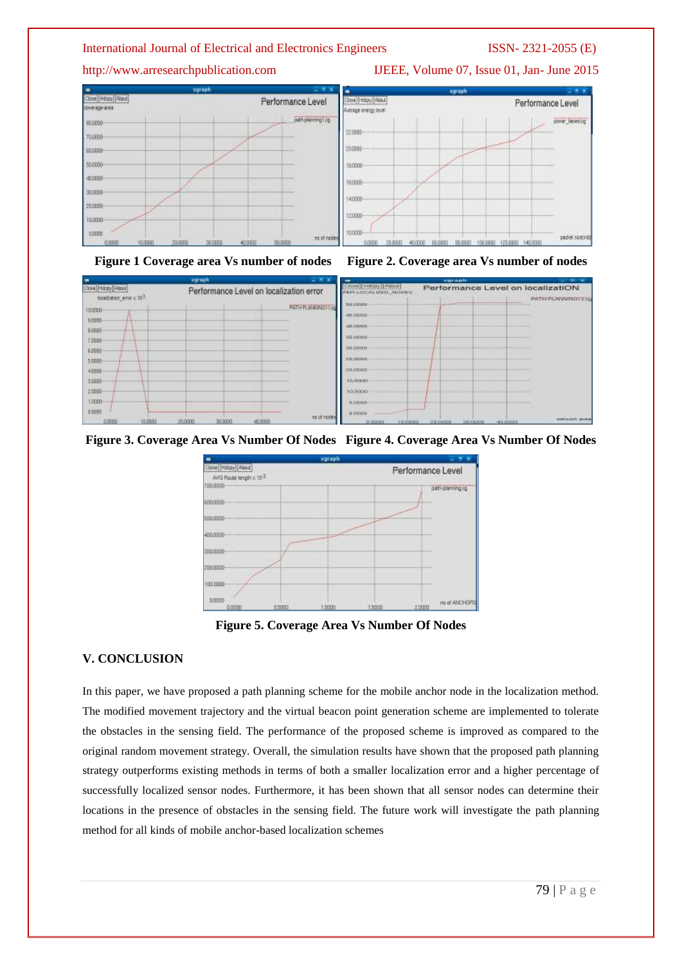







**Figure 3. Coverage Area Vs Number Of Nodes Figure 4. Coverage Area Vs Number Of Nodes**



**Figure 5. Coverage Area Vs Number Of Nodes**

#### **V. CONCLUSION**

Core (Gary Fanz)

**TODOUS** 

sines

kins

2,000 **E** 5.0000 4,008 3,0000  $71005$ 

1,000 ram

intelligible programs 187

In this paper, we have proposed a path planning scheme for the mobile anchor node in the localization method. The modified movement trajectory and the virtual beacon point generation scheme are implemented to tolerate the obstacles in the sensing field. The performance of the proposed scheme is improved as compared to the original random movement strategy. Overall, the simulation results have shown that the proposed path planning strategy outperforms existing methods in terms of both a smaller localization error and a higher percentage of successfully localized sensor nodes. Furthermore, it has been shown that all sensor nodes can determine their locations in the presence of obstacles in the sensing field. The future work will investigate the path planning method for all kinds of mobile anchor-based localization schemes

#### http://www.arresearchpublication.com IJEEE, Volume 07, Issue 01, Jan- June 2015